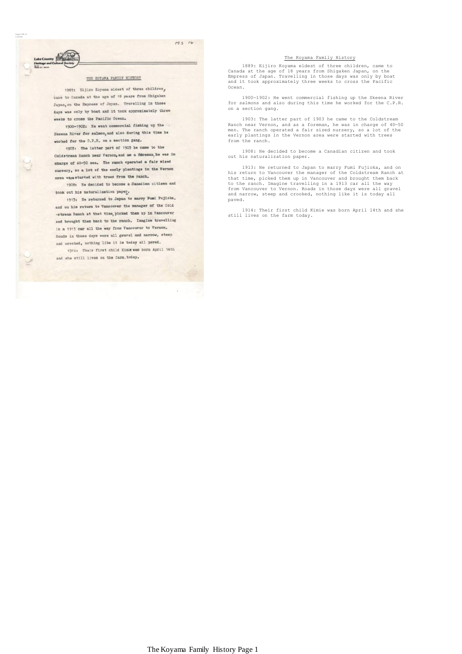## $M_S$  16

## THE KOYAMA FAMILY HISTORY

August-08-11 1:20 PM

> 1889: Eijiro Koyama eldest of three children, came to Canada at the age of 18 years from Shigaken Japan, on the Empress of Japan. Travelling in those days was only by boat and it took approximately three weeks to cross the Pacific Ocean.

1900-1902: He went commercial fishing up the Skeena River for salmon, and also during this time he worked for the C.P.R. on a section gang.

1903: The latter part of 1903 he came to the Coldstream Ranch near Vernon, and as a fereman, he was in charge of 40-50 men. The ranch operated a fair sized nursery, so a lot of the early plantings in the Vernon area were started with trees from the ranch.

1908: He decided to become a Canadian citizen and took out his naturalization paper.

1913: He returned to Japan to marry Fumi Fujioka, and on his return to Vancouver the manager of the Cold -stream Ranch at that time, picked them up in Vancouver and brought them back to the ranch. Imagine travelling in a 1913 car all the way from Vancouver to Vernon. Roads in those days were all gravel and narrow, steep and crooked, nothing like it is today all paved.

1914: Their first child Kimle was born April 14th and she still lives on the farm. today.

## The Koyama Family History

 1889: Eijiro Koyama eldest of three children, came to Canada at the age of 18 years from Shigaken Japan, on the Empress of Japan. Travelling in those days was only by boat and it took approximately three weeks to cross the Pacific Ocean.

 1900—1902: He went commercial fishing up the Skeena River for salmons and also during this time he worked for the C.P.R. on a section gang.

1903: The latter part of 1903 he came to the Coldstream<br>Ranch near Vernon, and as a foreman, he was in charge of 40-50<br>men. The ranch operated a fair sized nursery, so a lot of the<br>early plantings in the Vernon area were s from the ranch.

 1908: He decided to become a Canadian citizen and took out his naturalization paper.

 1913: He returned to Japan to marry Fumi Fujioka, and on his return to Vancouver the manager of the Coldstream Ranch at that time, picked them up in Vancouver and brought them back to the ranch. Imagine travelling in a 1913 car all the way<br>from Vancouver to Vernon. Roads in those days were all gravel<br>and narrow, steep and crooked, nothing like it is today all paved.

 1914: Their first child Kimie was born April 14th and she still lives on the farm today.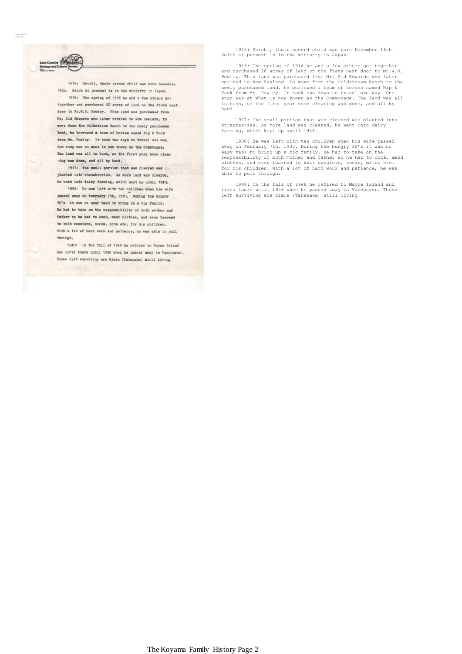1915: Seichi, their second child was born December 16th. Seich at present is in the ministry in Japan. 1916: The spring of 1916 he and a few others got together and purchased 20 acres of land on the flats next door to Mr.W.R. Powley. This land was purchased from Mr. Sid Edwards who later retired to New Zealand. To move from the Coldstream Ranch to the newly purchased land, he borrowed a team of horses named Hip & Tuck from Mr. Powley. It took two days to travel one way. One stop was at what is now known as the Commonage. The land was all in bush, so the first year some clear -ing was done, and all by hand.

August-08-11 1:21 PM

> 1917: The small portion that was cleared was ; planted into strawberries. As more land was cleared, he went into dairy farming, which kept up until 1948.

1930: He was left with ten children when his wife passed away on February 7th, 1930. During the hungry 30's it was no easy task to bring up a big family. He had to take on the responsibility of both mother and father so he had to cook, mend clothes, and even learned to knit sweaters, socks, mits etc. for his children. With a lot of hard work and patience, he was able to pull through.

1948: In the fall of 1948 he retired to Mayne Island and lived there until 1956 when he passed away in Vancouver. Those left surviving are Kimie (Takenaka) still living

1915: Seichi, their second child was born December 16th. Seich at present is in the ministry in Japan.

 1916: The spring of 1916 he and a few others got together and purchased 20 acres of land on the flats next door to Mr.W.R. Powley. This land was purchased from Mr. Sid Edwards who later retired to New Zealand. To move from the Coldstream Ranch to the newly purchased land, he borrowed a team of horses named Nip & Tuck from Mr. Powley. It took two days to travel one way. One stop was at what is now known as the Commonage. The land was all in bush, so the first year some clearing was done, and all by hand.

 1917: The small portion that was cleared was planted into strawberries. As more land was cleared, he went into dairy farming, which kept up until 1948.

 1930: He was left with ten children when his wife passed away on February 7th, 1930. During the hungry 30's it was no easy task to bring up a big family. He had to take on the responsibility of both mother and father so he had to cook, mend clothes, and even learned to knit sweaters, socks, mites etc. for his children. With a lot of hard work and patience, he was able to pull through.

 1948: In the fall of 1948 he retired to Mayne Island and lived there until 1956 when he passed away in Vancouver. Those left surviving are Kimie (Takenaka) still living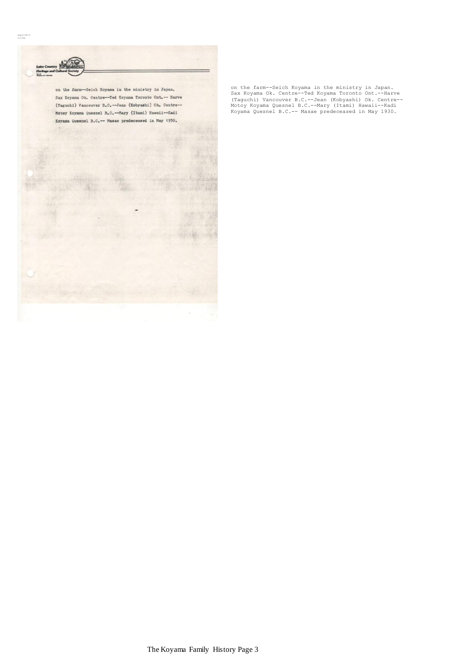

on the farm--Seich Koyama in the ministry in Japan.<br>Sax Koyama Ok. Centre--Ted Koyama Toronto Ont.--Harve<br>(Taguchi) Vancouver B.C.--Jean (Kobyashi) Ok. Centre--<br>Motoy Koyama Quesnel B.C.--Mary (Itami) Hawaii--Kadi<br>Koyama Q